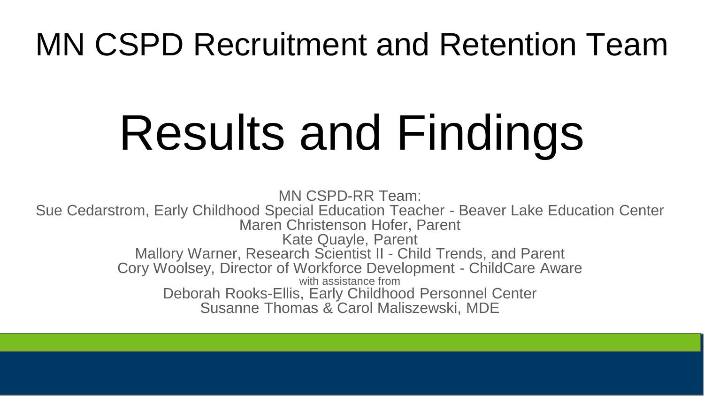# MN CSPD Recruitment and Retention Team

# Results and Findings

MN CSPD-RR Team: Sue Cedarstrom, Early Childhood Special Education Teacher - Beaver Lake Education Center Maren Christenson Hofer, Parent Kate Quayle, Parent Mallory Warner, Research Scientist II - Child Trends, and Parent Cory Woolsey, Director of Workforce Development - ChildCare Aware with assistance from Deborah Rooks-Ellis, Early Childhood Personnel Center Susanne Thomas & Carol Maliszewski, MDE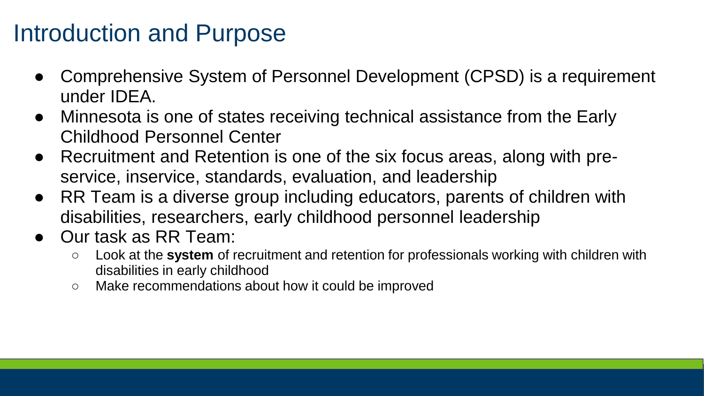#### Introduction and Purpose

- Comprehensive System of Personnel Development (CPSD) is a requirement under IDEA.
- Minnesota is one of states receiving technical assistance from the Early Childhood Personnel Center
- Recruitment and Retention is one of the six focus areas, along with preservice, inservice, standards, evaluation, and leadership
- RR Team is a diverse group including educators, parents of children with disabilities, researchers, early childhood personnel leadership
- Our task as RR Team:
	- Look at the **system** of recruitment and retention for professionals working with children with disabilities in early childhood
	- Make recommendations about how it could be improved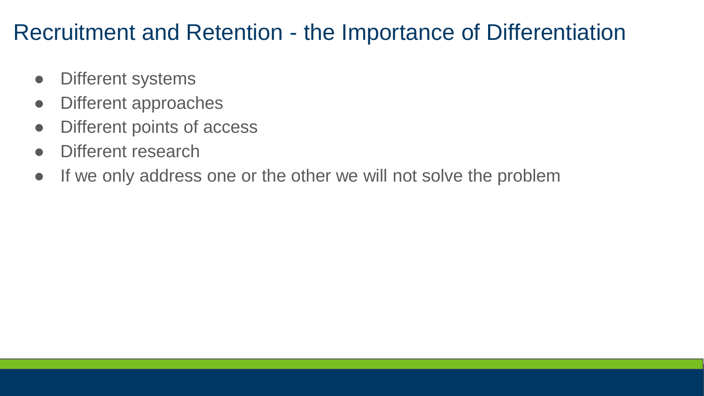#### Recruitment and Retention - the Importance of Differentiation

- Different systems
- Different approaches
- Different points of access
- Different research
- If we only address one or the other we will not solve the problem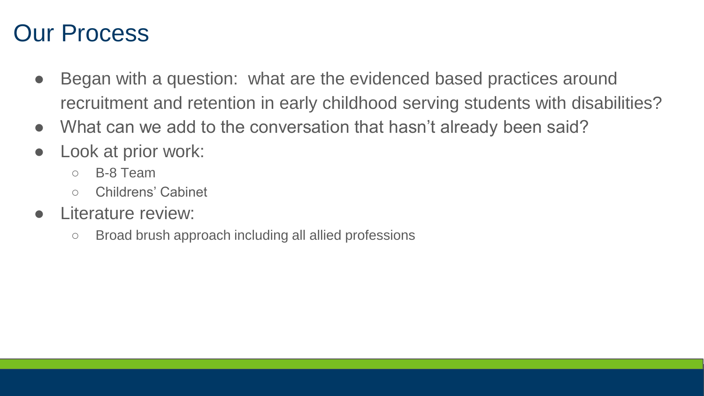#### Our Process

- Began with a question: what are the evidenced based practices around recruitment and retention in early childhood serving students with disabilities?
- What can we add to the conversation that hasn't already been said?
- Look at prior work:
	- B-8 Team
	- Childrens' Cabinet
- I iterature review:
	- Broad brush approach including all allied professions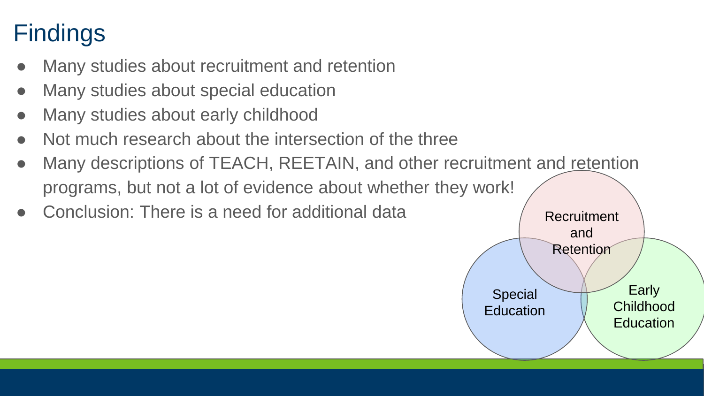### **Findings**

- Many studies about recruitment and retention
- Many studies about special education
- Many studies about early childhood
- Not much research about the intersection of the three
- Many descriptions of TEACH, REETAIN, and other recruitment and retention programs, but not a lot of evidence about whether they work!
- Conclusion: There is a need for additional data

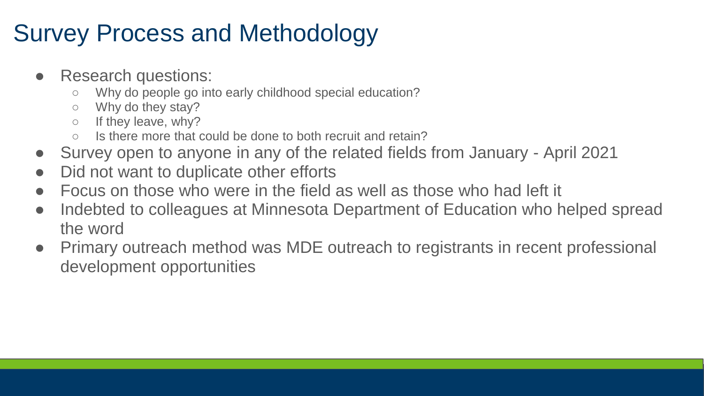#### Survey Process and Methodology

- Research questions:
	- Why do people go into early childhood special education?
	- Why do they stay?
	- o If they leave, why?
	- $\circ$  Is there more that could be done to both recruit and retain?
- Survey open to anyone in any of the related fields from January April 2021
- Did not want to duplicate other efforts
- Focus on those who were in the field as well as those who had left it
- Indebted to colleagues at Minnesota Department of Education who helped spread the word
- Primary outreach method was MDE outreach to registrants in recent professional development opportunities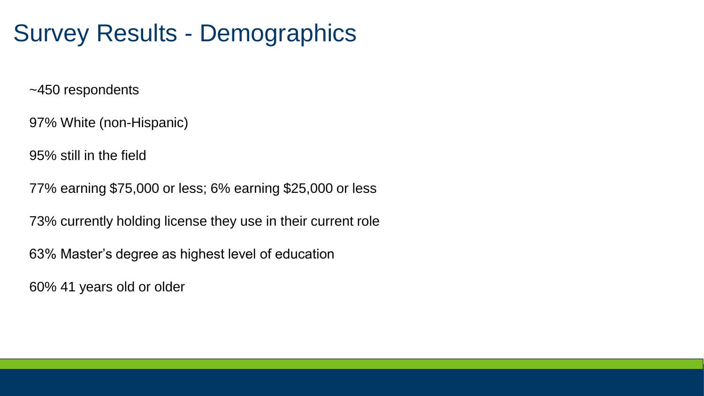#### Survey Results - Demographics

~450 respondents

97% White (non-Hispanic)

95% still in the field

77% earning \$75,000 or less; 6% earning \$25,000 or less

73% currently holding license they use in their current role

63% Master's degree as highest level of education

60% 41 years old or older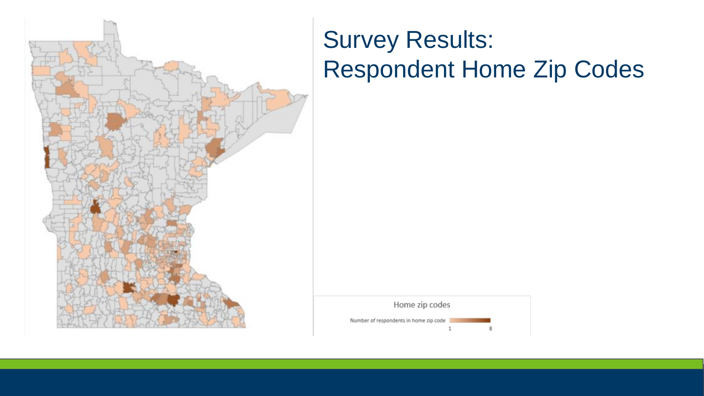

#### Survey Results: Respondent Home Zip Codes

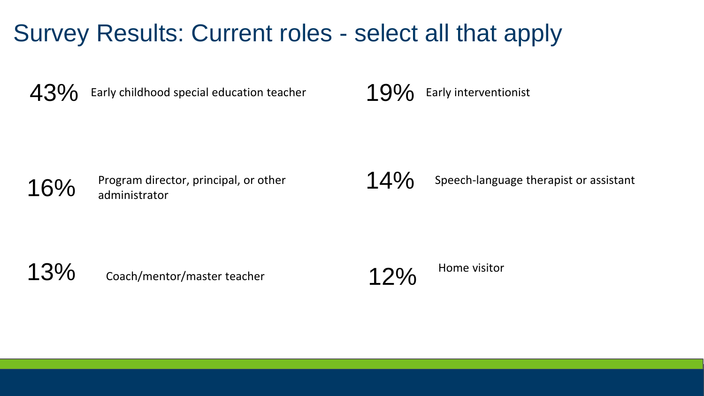#### Survey Results: Current roles - select all that apply

 $43\%$  Early childhood special education teacher 19% Early interventionist

16% Program director, principal, or other 14% administrator

Speech-language therapist or assistant

13%

Coach/mentor/master teacher 12% Home visitor

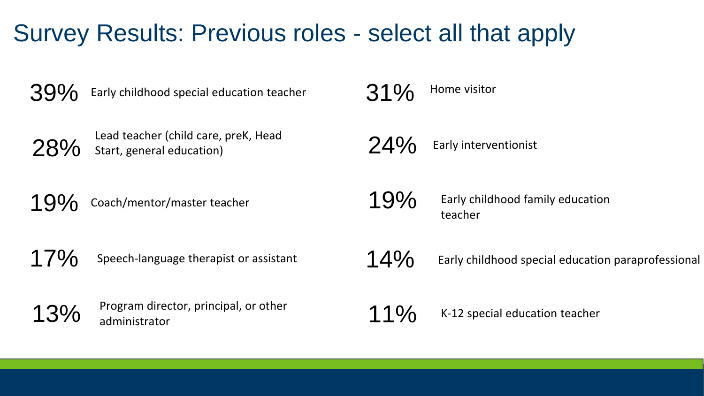#### Survey Results: Previous roles - select all that apply

 $39\%$  Early childhood special education teacher



Lead teacher (child care, preK, Head<br> $28\%$  Start, general education) Start, general education)

19% Coach/mentor/master teacher

17% Speech-language therapist or assistant

13% Program director, principal, or other administrator

31% Home visitor

 $24\%$  Early interventionist

 $19\%$  Early childhood family education teacher

 $14\%$  Early childhood special education paraprofessional

 $11\%$  K-12 special education teacher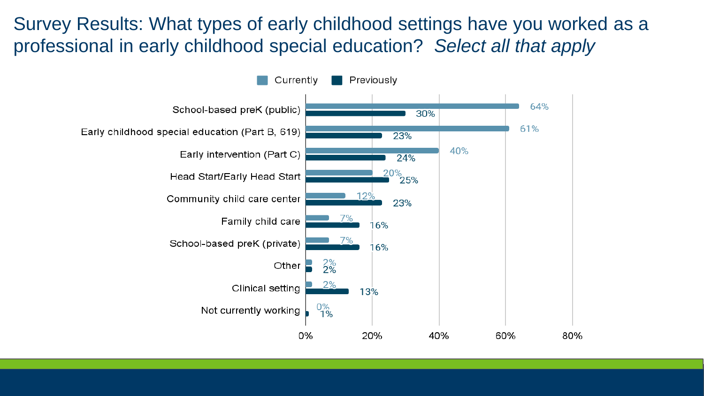Survey Results: What types of early childhood settings have you worked as a professional in early childhood special education? *Select all that apply*

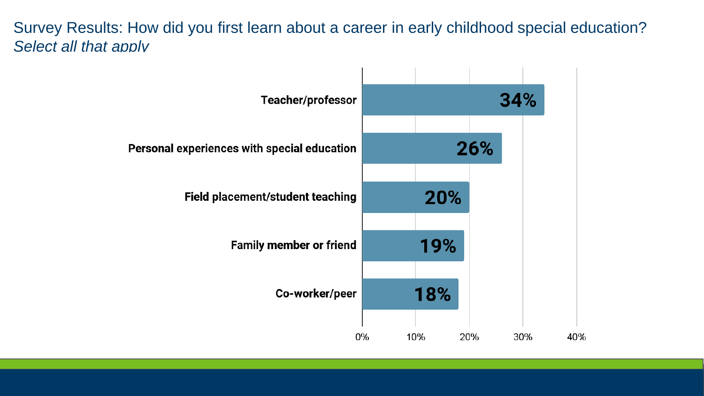Survey Results: How did you first learn about a career in early childhood special education? *Select all that apply*

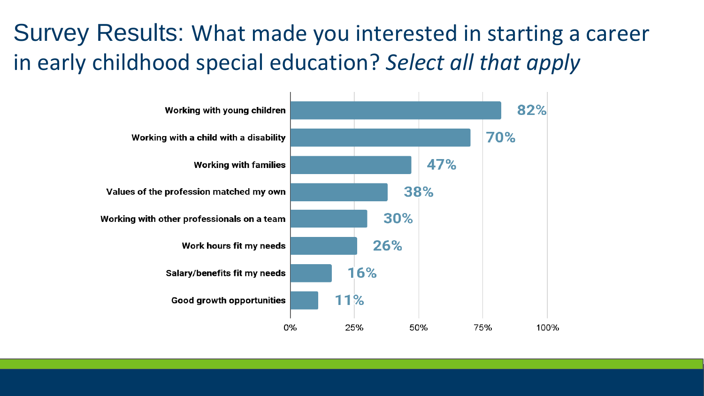#### Survey Results: What made you interested in starting a career in early childhood special education? *Select all that apply*

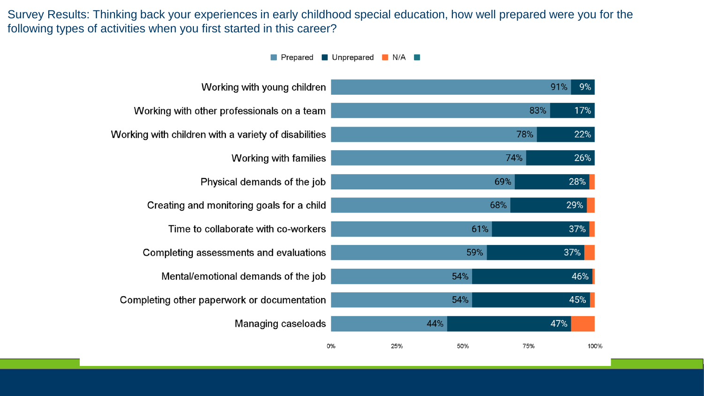Survey Results: Thinking back your experiences in early childhood special education, how well prepared were you for the following types of activities when you first started in this career?

> $\overline{\phantom{a}}$ . . .

Prepared Unprepared N/A  $\ddotsc$  $\cdots$ 

| Working with young children                          |    |     |     |     | 91%<br>9% |
|------------------------------------------------------|----|-----|-----|-----|-----------|
| Working with other professionals on a team           |    |     |     | 83% | 17%       |
| Working with children with a variety of disabilities |    |     |     | 78% | 22%       |
| Working with families                                |    |     | 74% |     | 26%       |
| Physical demands of the job                          |    |     | 69% |     | 28%       |
| Creating and monitoring goals for a child            |    |     | 68% |     | 29%       |
| Time to collaborate with co-workers                  |    |     | 61% |     | 37%       |
| Completing assessments and evaluations               |    |     | 59% |     | 37%       |
| Mental/emotional demands of the job                  |    |     | 54% |     | 46%       |
| Completing other paperwork or documentation          |    |     | 54% |     | 45%       |
| Managing caseloads                                   |    | 44% |     |     | 47%       |
|                                                      | 0% | 25% | 50% | 75% | 100%      |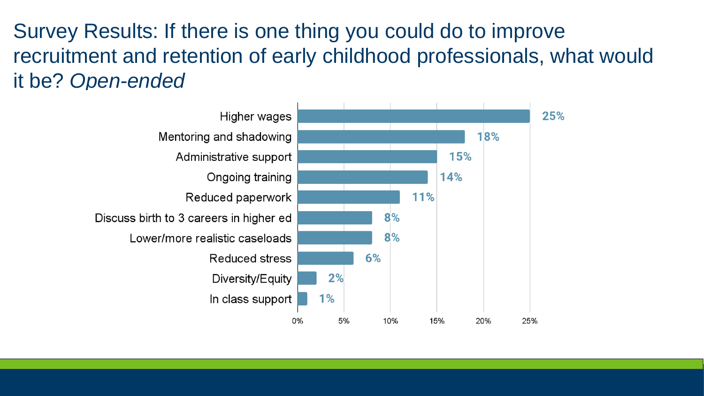Survey Results: If there is one thing you could do to improve recruitment and retention of early childhood professionals, what would it be? *Open-ended*

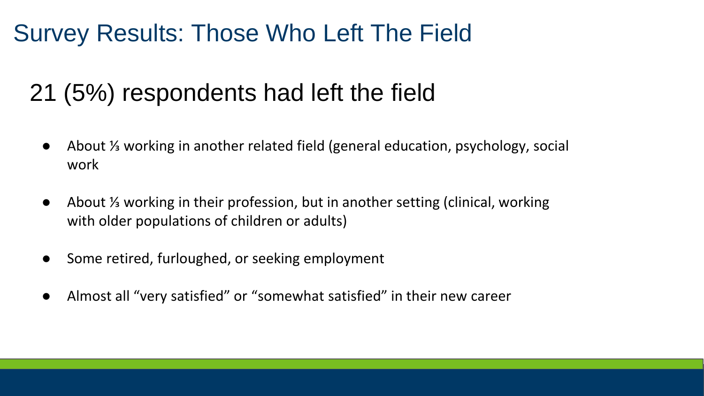#### Survey Results: Those Who Left The Field

#### 21 (5%) respondents had left the field

- About <sup>1/3</sup> working in another related field (general education, psychology, social work
- About <sup>1/</sup> working in their profession, but in another setting (clinical, working with older populations of children or adults)
- Some retired, furloughed, or seeking employment
- Almost all "very satisfied" or "somewhat satisfied" in their new career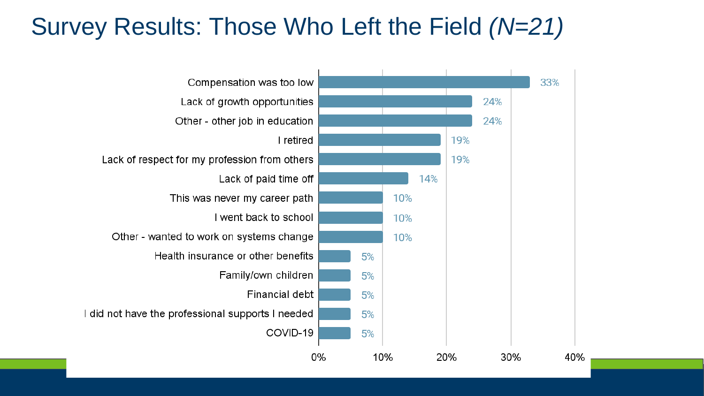#### Survey Results: Those Who Left the Field *(N=21)*

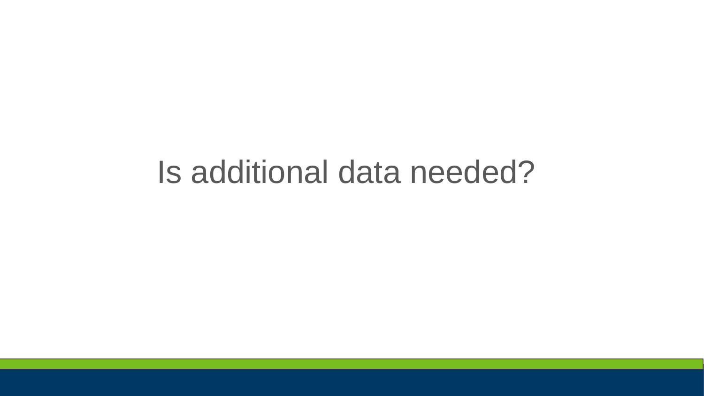## Is additional data needed?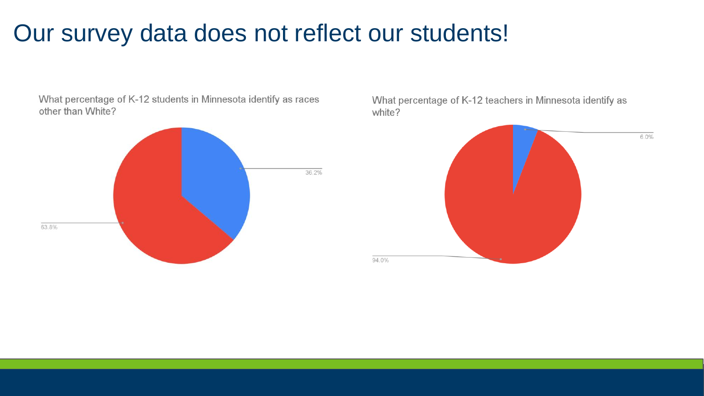#### Our survey data does not reflect our students!

What percentage of K-12 students in Minnesota identify as races other than White?



What percentage of K-12 teachers in Minnesota identify as white?

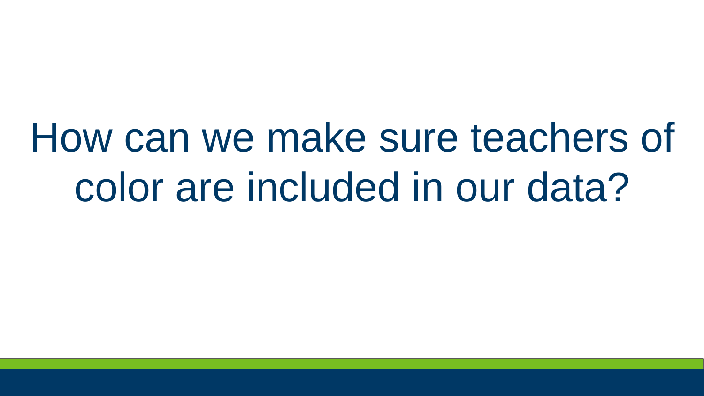# How can we make sure teachers of color are included in our data?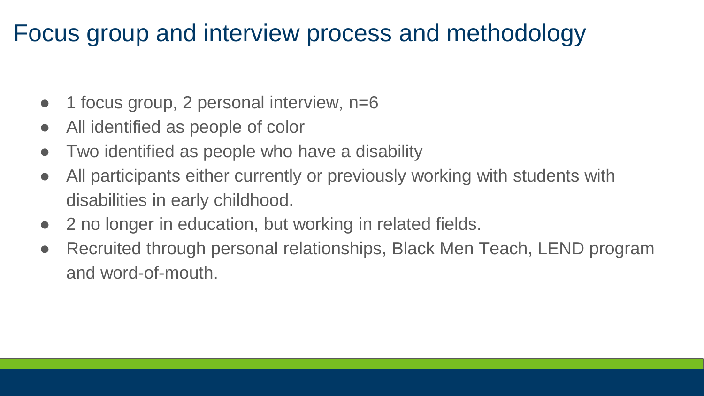#### Focus group and interview process and methodology

- $\bullet$  1 focus group, 2 personal interview, n=6
- All identified as people of color
- Two identified as people who have a disability
- All participants either currently or previously working with students with disabilities in early childhood.
- 2 no longer in education, but working in related fields.
- Recruited through personal relationships, Black Men Teach, LEND program and word-of-mouth.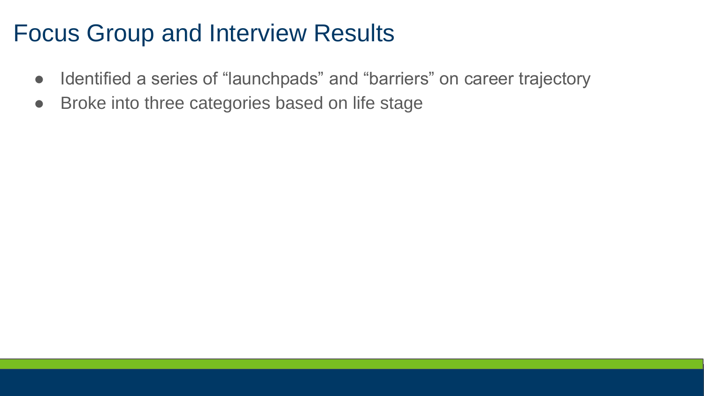#### Focus Group and Interview Results

- Identified a series of "launchpads" and "barriers" on career trajectory
- Broke into three categories based on life stage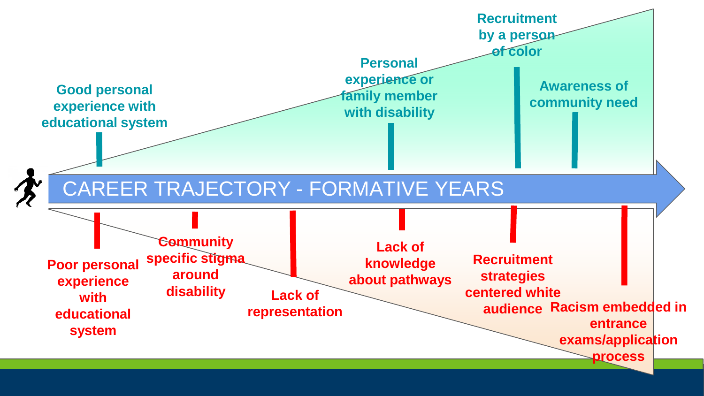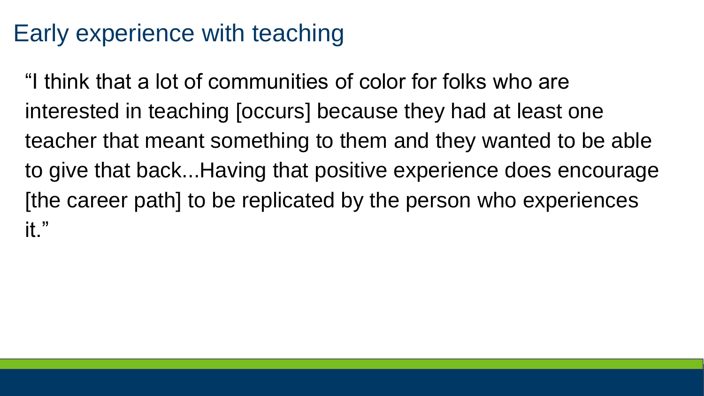#### Early experience with teaching

"I think that a lot of communities of color for folks who are interested in teaching [occurs] because they had at least one teacher that meant something to them and they wanted to be able to give that back...Having that positive experience does encourage [the career path] to be replicated by the person who experiences it."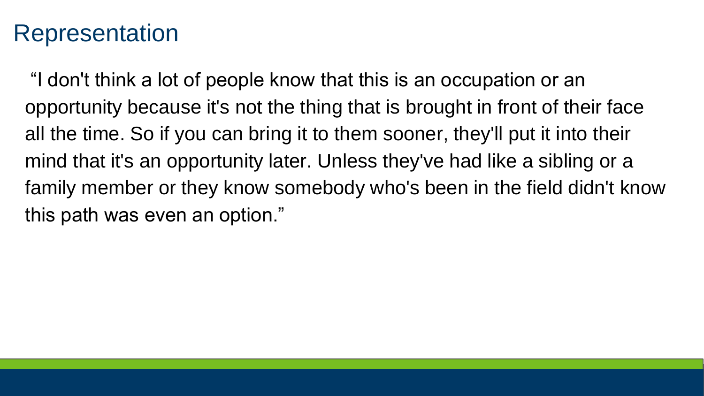#### Representation

"I don't think a lot of people know that this is an occupation or an opportunity because it's not the thing that is brought in front of their face all the time. So if you can bring it to them sooner, they'll put it into their mind that it's an opportunity later. Unless they've had like a sibling or a family member or they know somebody who's been in the field didn't know this path was even an option."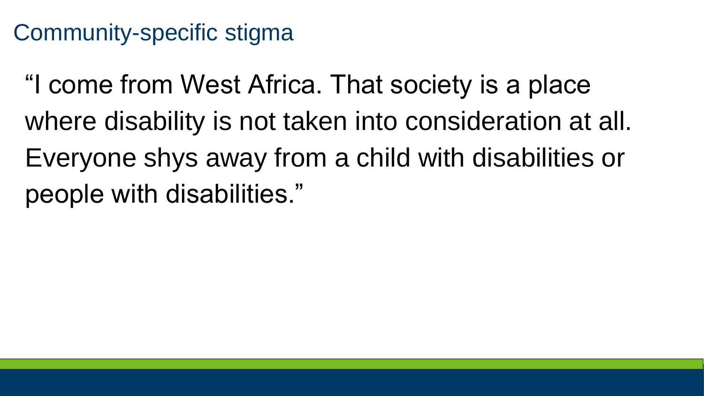#### Community-specific stigma

"I come from West Africa. That society is a place where disability is not taken into consideration at all. Everyone shys away from a child with disabilities or people with disabilities."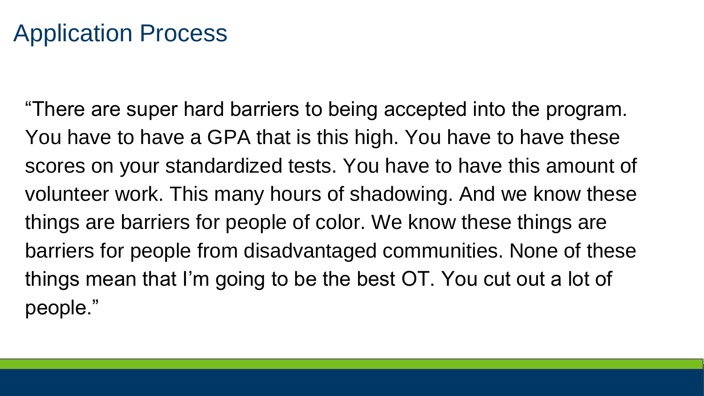#### Application Process

"There are super hard barriers to being accepted into the program. You have to have a GPA that is this high. You have to have these scores on your standardized tests. You have to have this amount of volunteer work. This many hours of shadowing. And we know these things are barriers for people of color. We know these things are barriers for people from disadvantaged communities. None of these things mean that I'm going to be the best OT. You cut out a lot of people."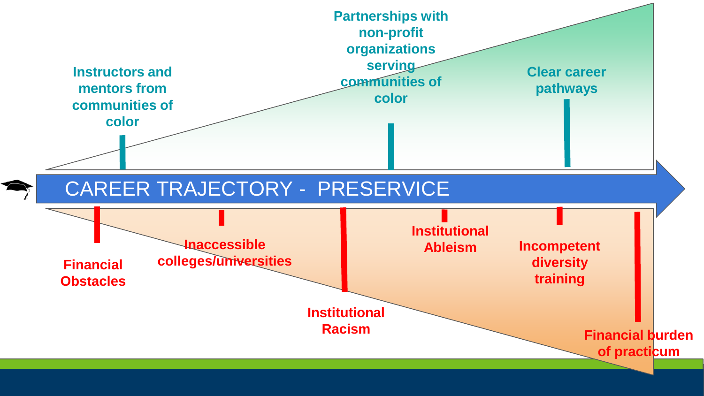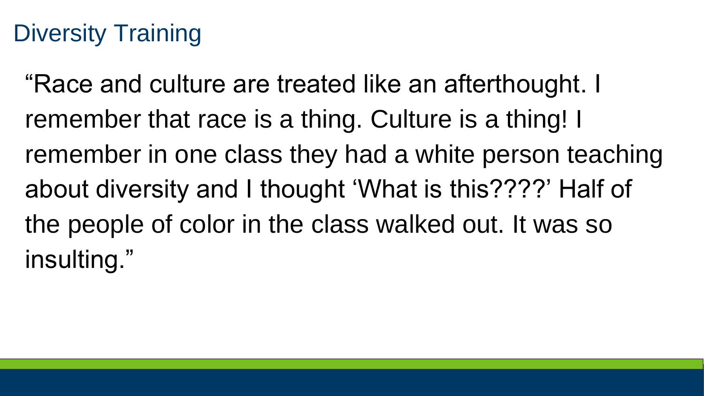#### Diversity Training

"Race and culture are treated like an afterthought. I remember that race is a thing. Culture is a thing! I remember in one class they had a white person teaching about diversity and I thought 'What is this????' Half of the people of color in the class walked out. It was so insulting."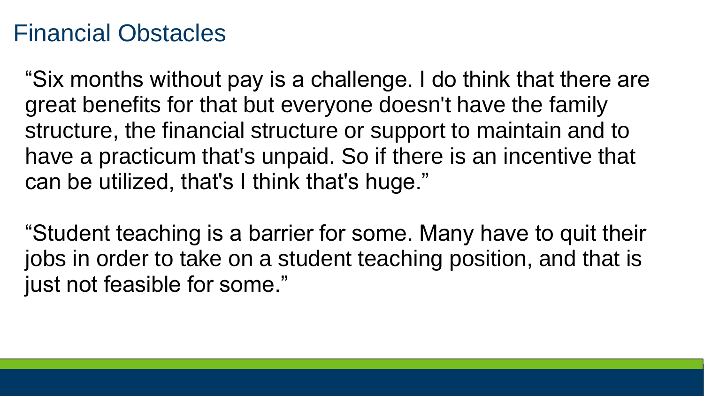#### Financial Obstacles

"Six months without pay is a challenge. I do think that there are great benefits for that but everyone doesn't have the family structure, the financial structure or support to maintain and to have a practicum that's unpaid. So if there is an incentive that can be utilized, that's I think that's huge."

"Student teaching is a barrier for some. Many have to quit their jobs in order to take on a student teaching position, and that is just not feasible for some."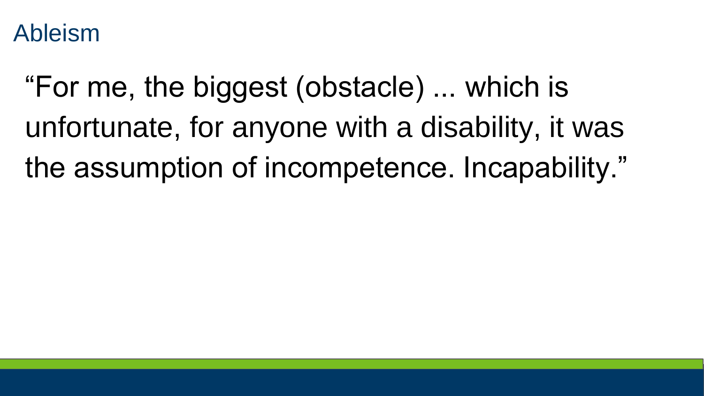Ableism

"For me, the biggest (obstacle) ... which is unfortunate, for anyone with a disability, it was the assumption of incompetence. Incapability."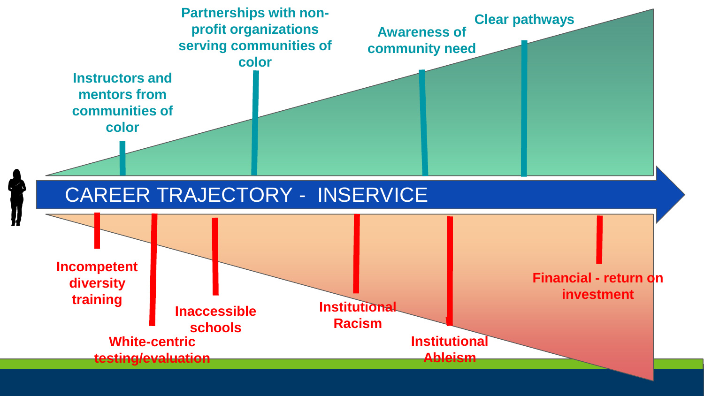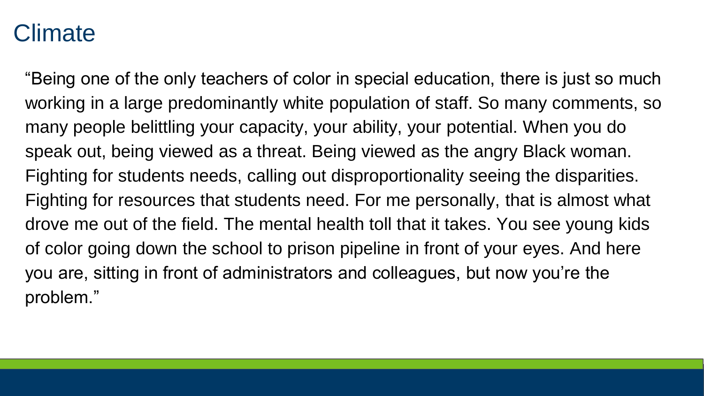#### Climate

"Being one of the only teachers of color in special education, there is just so much working in a large predominantly white population of staff. So many comments, so many people belittling your capacity, your ability, your potential. When you do speak out, being viewed as a threat. Being viewed as the angry Black woman. Fighting for students needs, calling out disproportionality seeing the disparities. Fighting for resources that students need. For me personally, that is almost what drove me out of the field. The mental health toll that it takes. You see young kids of color going down the school to prison pipeline in front of your eyes. And here you are, sitting in front of administrators and colleagues, but now you're the problem."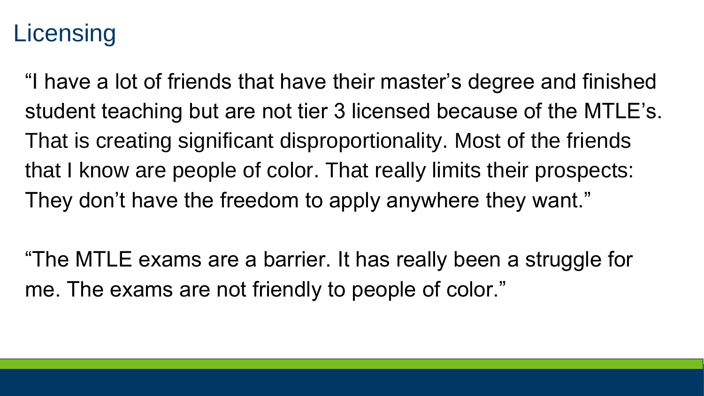#### **Licensing**

"I have a lot of friends that have their master's degree and finished student teaching but are not tier 3 licensed because of the MTLE's. That is creating significant disproportionality. Most of the friends that I know are people of color. That really limits their prospects: They don't have the freedom to apply anywhere they want."

"The MTLE exams are a barrier. It has really been a struggle for me. The exams are not friendly to people of color."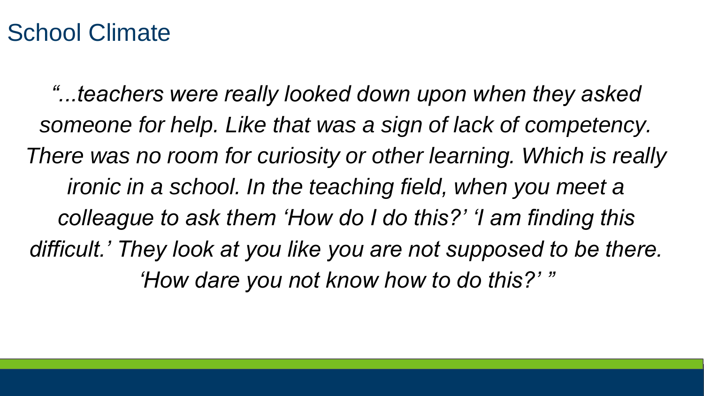#### School Climate

*"...teachers were really looked down upon when they asked someone for help. Like that was a sign of lack of competency. There was no room for curiosity or other learning. Which is really ironic in a school. In the teaching field, when you meet a colleague to ask them 'How do I do this?' 'I am finding this difficult.' They look at you like you are not supposed to be there. 'How dare you not know how to do this?' "*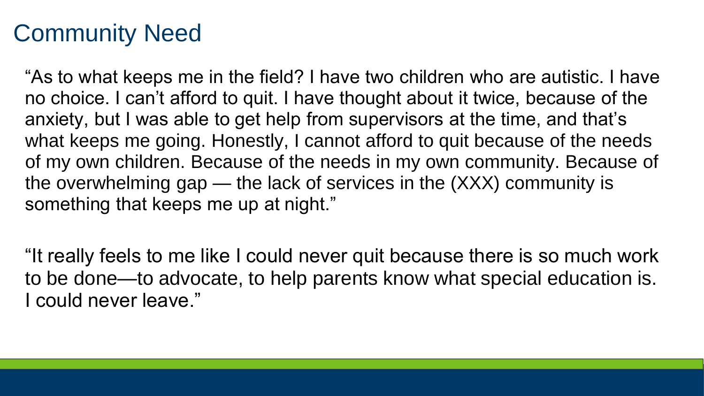#### Community Need

"As to what keeps me in the field? I have two children who are autistic. I have no choice. I can't afford to quit. I have thought about it twice, because of the anxiety, but I was able to get help from supervisors at the time, and that's what keeps me going. Honestly, I cannot afford to quit because of the needs of my own children. Because of the needs in my own community. Because of the overwhelming gap — the lack of services in the (XXX) community is something that keeps me up at night."

"It really feels to me like I could never quit because there is so much work to be done—to advocate, to help parents know what special education is. I could never leave."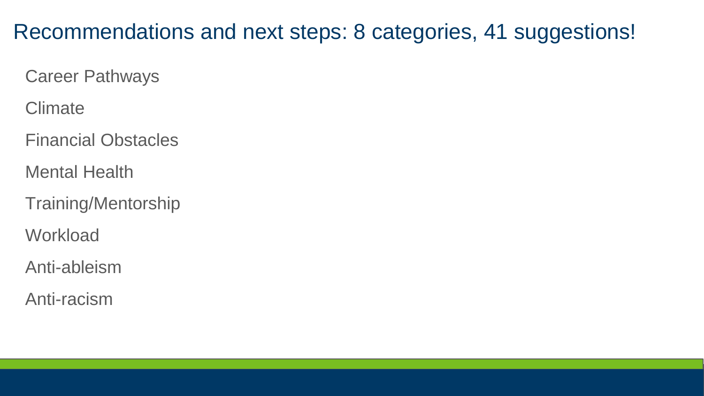#### Recommendations and next steps: 8 categories, 41 suggestions!

Career Pathways

**Climate** 

Financial Obstacles

Mental Health

Training/Mentorship

**Workload** 

Anti-ableism

Anti-racism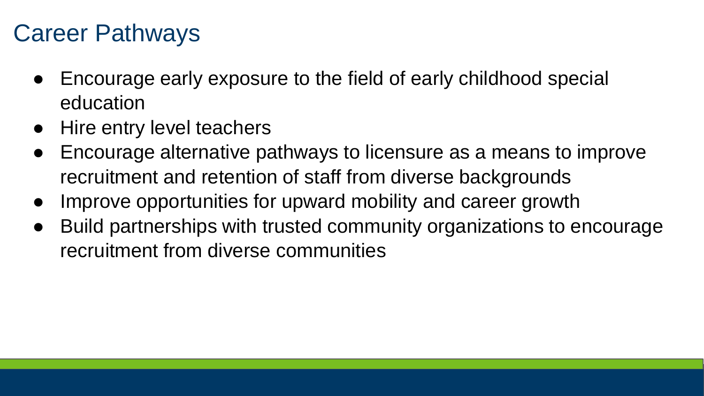#### Career Pathways

- Encourage early exposure to the field of early childhood special education
- Hire entry level teachers
- Encourage alternative pathways to licensure as a means to improve recruitment and retention of staff from diverse backgrounds
- Improve opportunities for upward mobility and career growth
- Build partnerships with trusted community organizations to encourage recruitment from diverse communities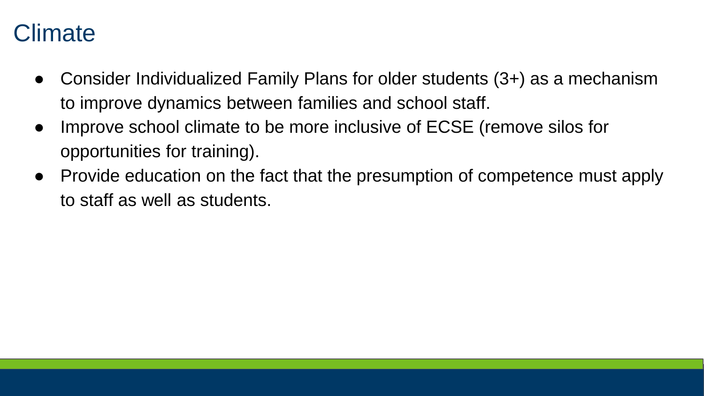#### **Climate**

- Consider Individualized Family Plans for older students (3+) as a mechanism to improve dynamics between families and school staff.
- Improve school climate to be more inclusive of ECSE (remove silos for opportunities for training).
- Provide education on the fact that the presumption of competence must apply to staff as well as students.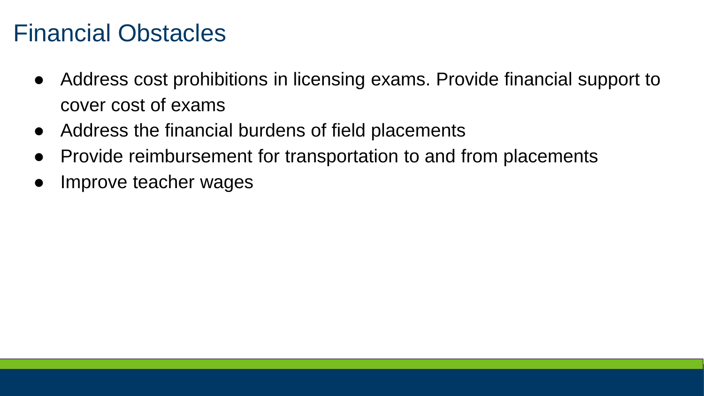#### Financial Obstacles

- Address cost prohibitions in licensing exams. Provide financial support to cover cost of exams
- Address the financial burdens of field placements
- Provide reimbursement for transportation to and from placements
- Improve teacher wages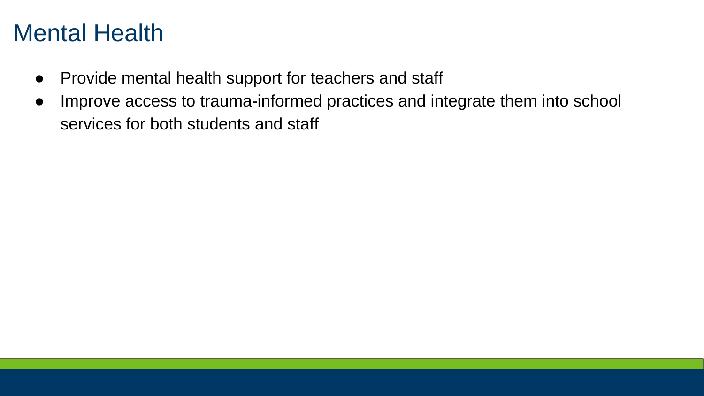#### Mental Health

- Provide mental health support for teachers and staff
- Improve access to trauma-informed practices and integrate them into school services for both students and staff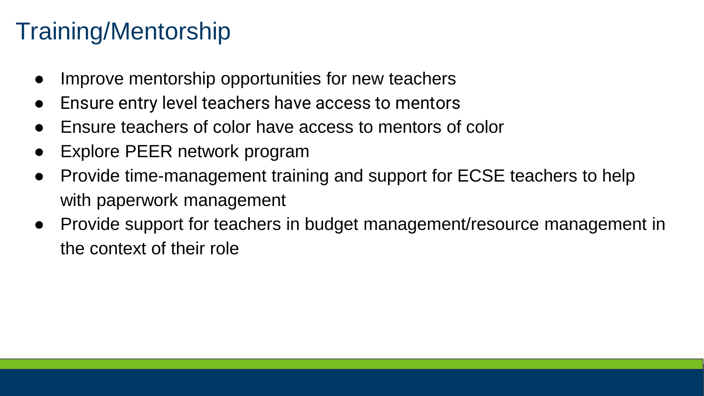#### Training/Mentorship

- Improve mentorship opportunities for new teachers
- Ensure entry level teachers have access to mentors
- Ensure teachers of color have access to mentors of color
- Explore PEER network program
- Provide time-management training and support for ECSE teachers to help with paperwork management
- Provide support for teachers in budget management/resource management in the context of their role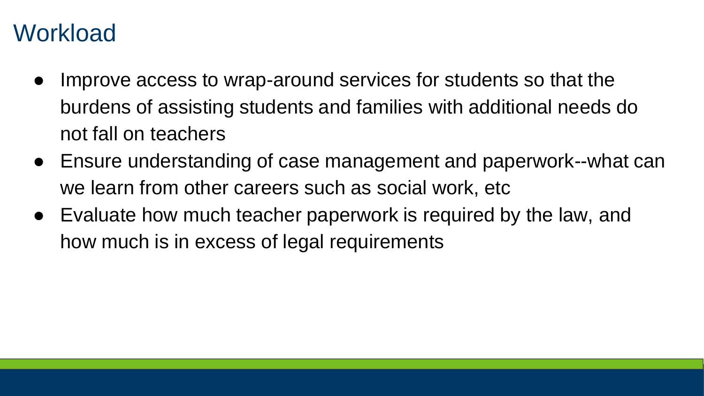#### **Workload**

- Improve access to wrap-around services for students so that the burdens of assisting students and families with additional needs do not fall on teachers
- Ensure understanding of case management and paperwork--what can we learn from other careers such as social work, etc
- Evaluate how much teacher paperwork is required by the law, and how much is in excess of legal requirements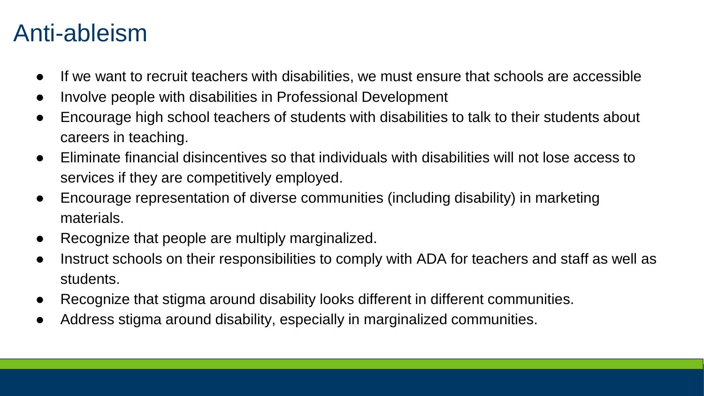#### Anti-ableism

- If we want to recruit teachers with disabilities, we must ensure that schools are accessible
- Involve people with disabilities in Professional Development
- Encourage high school teachers of students with disabilities to talk to their students about careers in teaching.
- Eliminate financial disincentives so that individuals with disabilities will not lose access to services if they are competitively employed.
- Encourage representation of diverse communities (including disability) in marketing materials.
- Recognize that people are multiply marginalized.
- Instruct schools on their responsibilities to comply with ADA for teachers and staff as well as students.
- Recognize that stigma around disability looks different in different communities.
- Address stigma around disability, especially in marginalized communities.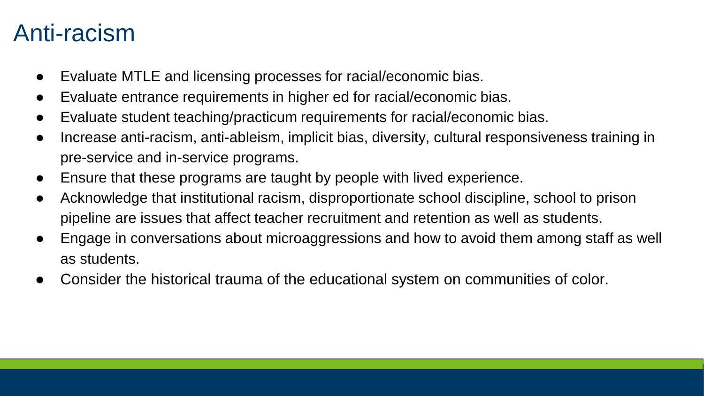#### Anti-racism

- Evaluate MTLE and licensing processes for racial/economic bias.
- Evaluate entrance requirements in higher ed for racial/economic bias.
- Evaluate student teaching/practicum requirements for racial/economic bias.
- Increase anti-racism, anti-ableism, implicit bias, diversity, cultural responsiveness training in pre-service and in-service programs.
- Ensure that these programs are taught by people with lived experience.
- Acknowledge that institutional racism, disproportionate school discipline, school to prison pipeline are issues that affect teacher recruitment and retention as well as students.
- Engage in conversations about microaggressions and how to avoid them among staff as well as students.
- Consider the historical trauma of the educational system on communities of color.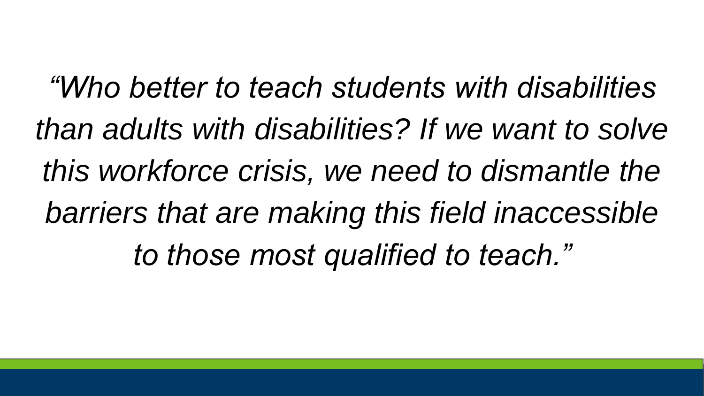*"Who better to teach students with disabilities than adults with disabilities? If we want to solve this workforce crisis, we need to dismantle the barriers that are making this field inaccessible to those most qualified to teach."*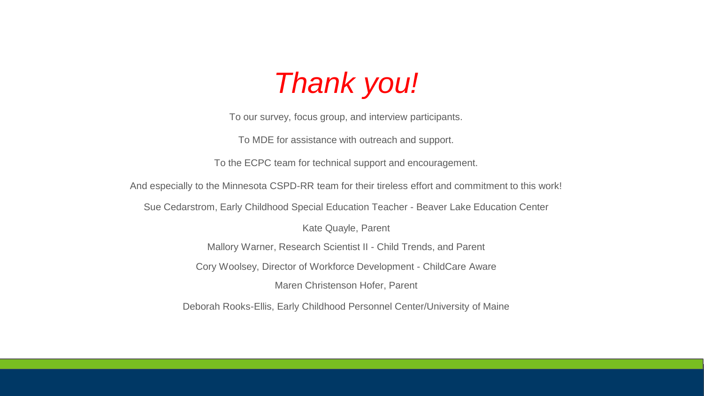# *Thank you!*

To our survey, focus group, and interview participants.

To MDE for assistance with outreach and support.

To the ECPC team for technical support and encouragement.

And especially to the Minnesota CSPD-RR team for their tireless effort and commitment to this work!

Sue Cedarstrom, Early Childhood Special Education Teacher - Beaver Lake Education Center

Kate Quayle, Parent

Mallory Warner, Research Scientist II - Child Trends, and Parent

Cory Woolsey, Director of Workforce Development - ChildCare Aware

Maren Christenson Hofer, Parent

Deborah Rooks-Ellis, Early Childhood Personnel Center/University of Maine